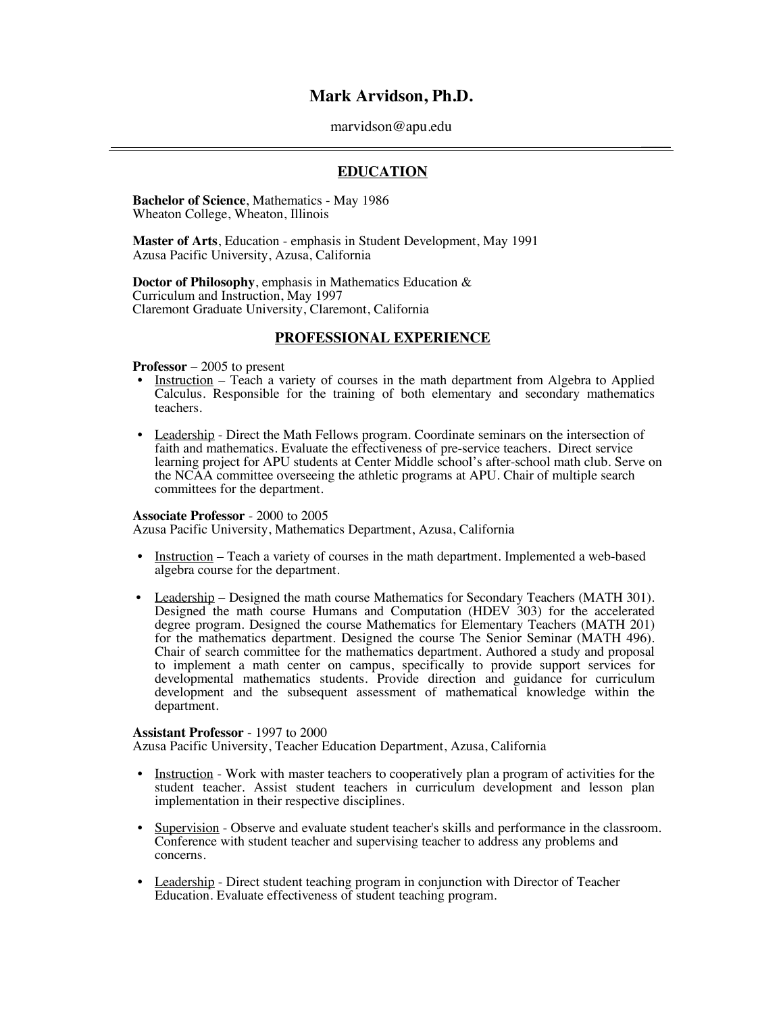# **Mark Arvidson, Ph.D.**

#### marvidson@apu.edu

 $\overline{\phantom{a}}$ 

## **EDUCATION**

**Bachelor of Science**, Mathematics - May 1986 Wheaton College, Wheaton, Illinois

**Master of Arts**, Education - emphasis in Student Development, May 1991 Azusa Pacific University, Azusa, California

**Doctor of Philosophy**, emphasis in Mathematics Education & Curriculum and Instruction, May 1997 Claremont Graduate University, Claremont, California

## **PROFESSIONAL EXPERIENCE**

#### **Professor** – 2005 to present

- Instruction Teach a variety of courses in the math department from Algebra to Applied Calculus. Responsible for the training of both elementary and secondary mathematics teachers.
- Leadership Direct the Math Fellows program. Coordinate seminars on the intersection of faith and mathematics. Evaluate the effectiveness of pre-service teachers. Direct service learning project for APU students at Center Middle school's after-school math club. Serve on the NCAA committee overseeing the athletic programs at APU. Chair of multiple search committees for the department.

#### **Associate Professor** - 2000 to 2005

Azusa Pacific University, Mathematics Department, Azusa, California

- Instruction Teach a variety of courses in the math department. Implemented a web-based algebra course for the department.
- Leadership Designed the math course Mathematics for Secondary Teachers (MATH 301). Designed the math course Humans and Computation (HDEV 303) for the accelerated degree program. Designed the course Mathematics for Elementary Teachers (MATH 201) for the mathematics department. Designed the course The Senior Seminar (MATH 496). Chair of search committee for the mathematics department. Authored a study and proposal to implement a math center on campus, specifically to provide support services for developmental mathematics students. Provide direction and guidance for curriculum development and the subsequent assessment of mathematical knowledge within the department.

#### **Assistant Professor** - 1997 to 2000

Azusa Pacific University, Teacher Education Department, Azusa, California

- Instruction Work with master teachers to cooperatively plan a program of activities for the student teacher. Assist student teachers in curriculum development and lesson plan implementation in their respective disciplines.
- Supervision Observe and evaluate student teacher's skills and performance in the classroom. Conference with student teacher and supervising teacher to address any problems and concerns.
- Leadership Direct student teaching program in conjunction with Director of Teacher Education. Evaluate effectiveness of student teaching program.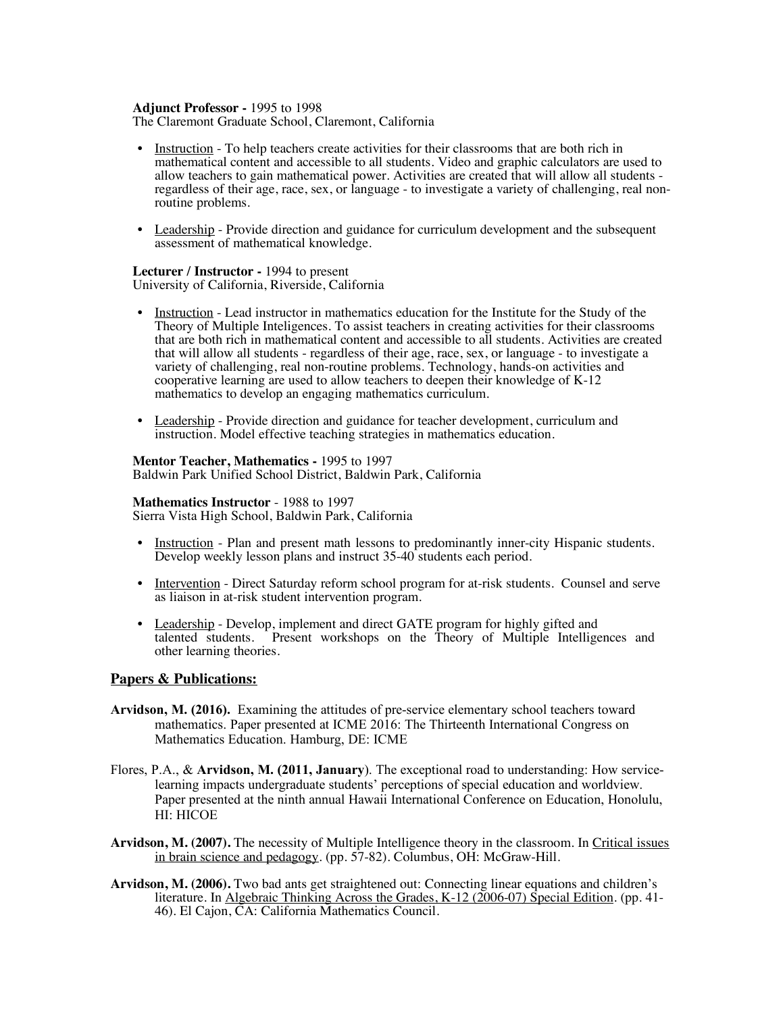### **Adjunct Professor -** 1995 to 1998

The Claremont Graduate School, Claremont, California

- Instruction To help teachers create activities for their classrooms that are both rich in mathematical content and accessible to all students. Video and graphic calculators are used to allow teachers to gain mathematical power. Activities are created that will allow all students regardless of their age, race, sex, or language - to investigate a variety of challenging, real non-<br>routine problems.
- Leadership Provide direction and guidance for curriculum development and the subsequent assessment of mathematical knowledge.

# **Lecturer / Instructor -** 1994 to present

University of California, Riverside, California

- Instruction Lead instructor in mathematics education for the Institute for the Study of the Theory of Multiple Inteligences. To assist teachers in creating activities for their classrooms that are both rich in mathematical content and accessible to all students. Activities are created that will allow all students - regardless of their age, race, sex, or language - to investigate a variety of challenging, real non-routine problems. Technology, hands-on activities and cooperative learning are used to allow teachers to deepen their knowledge of K-12 mathematics to develop an engaging mathematics curriculum.
- Leadership Provide direction and guidance for teacher development, curriculum and instruction. Model effective teaching strategies in mathematics education.

### **Mentor Teacher, Mathematics -** 1995 to 1997

Baldwin Park Unified School District, Baldwin Park, California

## **Mathematics Instructor** - 1988 to 1997

Sierra Vista High School, Baldwin Park, California

- Instruction Plan and present math lessons to predominantly inner-city Hispanic students. Develop weekly lesson plans and instruct 35-40 students each period.
- Intervention Direct Saturday reform school program for at-risk students. Counsel and serve as liaison in at-risk student intervention program.
- Leadership Develop, implement and direct GATE program for highly gifted and talented students. Present workshops on the Theory of Multiple Intelligences and other learning theories.

## **Papers & Publications:**

- **Arvidson, M. (2016).** Examining the attitudes of pre-service elementary school teachers toward mathematics. Paper presented at ICME 2016: The Thirteenth International Congress on Mathematics Education. Hamburg, DE: ICME
- Flores, P.A., & **Arvidson, M. (2011, January**). The exceptional road to understanding: How servicelearning impacts undergraduate students' perceptions of special education and worldview. Paper presented at the ninth annual Hawaii International Conference on Education, Honolulu, HI: HICOE
- Arvidson, M. (2007). The necessity of Multiple Intelligence theory in the classroom. In Critical issues in brain science and pedagogy. (pp. 57-82). Columbus, OH: McGraw-Hill.
- **Arvidson, M. (2006).** Two bad ants get straightened out: Connecting linear equations and children's literature. In <u>Algebraic Thinking Across the Grades, K-12 (2006-07) Special Edition</u>. (pp. 41-46). El Cajon, CA: California Mathematics Council.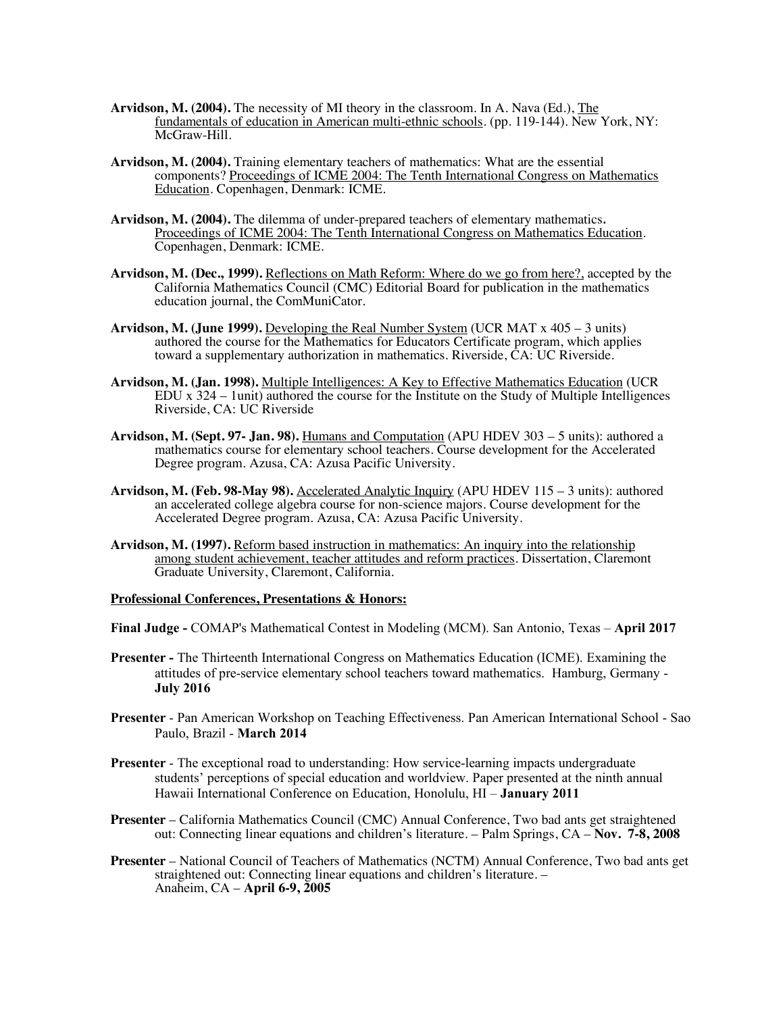- **Arvidson, M. (2004).** The necessity of MI theory in the classroom. In A. Nava (Ed.), The fundamentals of education in American multi-ethnic schools. (pp. 119-144). New York, NY: McGraw-Hill.
- **Arvidson, M. (2004).** Training elementary teachers of mathematics: What are the essential components? Proceedings of ICME 2004: The Tenth International Congress on Mathematics Education. Copenhagen, Denmark: ICME.
- **Arvidson, M. (2004).** The dilemma of under-prepared teachers of elementary mathematics. Proceedings of ICME 2004: The Tenth International Congress on Mathematics Education. Copenhagen, Denmark: ICME.
- **Arvidson, M. (Dec., 1999).** Reflections on Math Reform: Where do we go from here?, accepted by the California Mathematics Council (CMC) Editorial Board for publication in the mathematics education journal, the ComMuniCator.
- **Arvidson, M. (June 1999).** Developing the Real Number System (UCR MAT x 405 3 units) authored the course for the Mathematics for Educators Certificate program, which applies toward a supplementary authorization in mathematics. Riverside, CA: UC Riverside.
- **Arvidson, M. (Jan. 1998).** Multiple Intelligences: A Key to Effective Mathematics Education (UCR EDU x 324 – 1unit) authored the course for the Institute on the Study of Multiple Intelligences Riverside, CA: UC Riverside
- **Arvidson, M. (Sept. 97- Jan. 98).** Humans and Computation (APU HDEV 303 5 units): authored a mathematics course for elementary school teachers. Course development for the Accelerated Degree program. Azusa, CA: Azusa Pacific University.
- **Arvidson, M. (Feb. 98-May 98).** Accelerated Analytic Inquiry (APU HDEV 115 3 units): authored an accelerated college algebra course for non-science majors. Course development for the Accelerated Degree program. Azusa, CA: Azusa Pacific University.
- **Arvidson, M. (1997).** Reform based instruction in mathematics: An inquiry into the relationship among student achievement, teacher attitudes and reform practices. Dissertation, Claremont Graduate University, Claremont, California.

**Professional Conferences, Presentations & Honors:**

**Final Judge -** COMAP's Mathematical Contest in Modeling (MCM). San Antonio, Texas – **April 2017**

- **Presenter -** The Thirteenth International Congress on Mathematics Education (ICME). Examining the attitudes of pre-service elementary school teachers toward mathematics. Hamburg, Germany - **July 2016**
- **Presenter** Pan American Workshop on Teaching Effectiveness. Pan American International School Sao Paulo, Brazil - **March 2014**
- **Presenter** The exceptional road to understanding: How service-learning impacts undergraduate students' perceptions of special education and worldview. Paper presented at the ninth annual Hawaii International Conference on Education, Honolulu, HI – **January 2011**
- **Presenter** California Mathematics Council (CMC) Annual Conference, Two bad ants get straightened out: Connecting linear equations and children's literature. – Palm Springs, CA – **Nov. 7-8, 2008**
- **Presenter** National Council of Teachers of Mathematics (NCTM) Annual Conference, Two bad ants get straightened out: Connecting linear equations and children's literature. – Anaheim, CA – **April 6-9, 2005**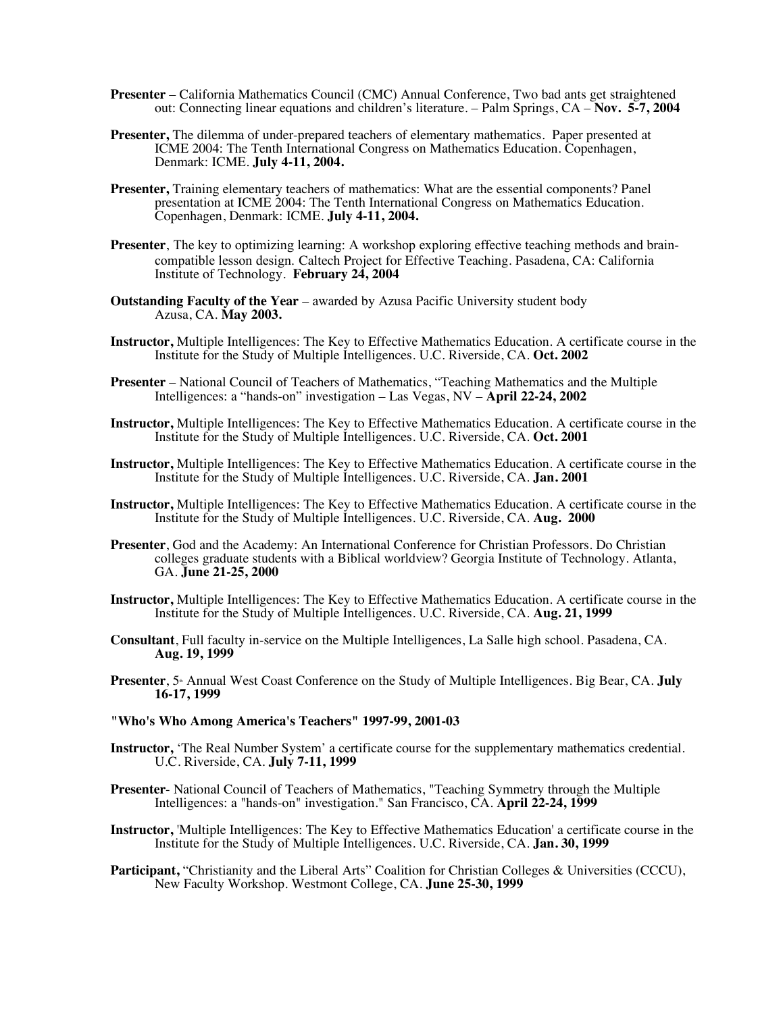- **Presenter** California Mathematics Council (CMC) Annual Conference, Two bad ants get straightened out: Connecting linear equations and children's literature. – Palm Springs, CA – **Nov. 5-7, 2004**
- **Presenter,** The dilemma of under-prepared teachers of elementary mathematics. Paper presented at ICME 2004: The Tenth International Congress on Mathematics Education. Copenhagen, Denmark: ICME. **July 4-11, 2004.**
- **Presenter,** Training elementary teachers of mathematics: What are the essential components? Panel presentation at ICME 2004: The Tenth International Congress on Mathematics Education. Copenhagen, Denmark: ICME. **July 4-11, 2004.**
- **Presenter**, The key to optimizing learning: A workshop exploring effective teaching methods and braincompatible lesson design. Caltech Project for Effective Teaching. Pasadena, CA: California Institute of Technology. **February 24, 2004**
- **Outstanding Faculty of the Year** awarded by Azusa Pacific University student body Azusa, CA. **May 2003.**
- **Instructor,** Multiple Intelligences: The Key to Effective Mathematics Education. A certificate course in the Institute for the Study of Multiple Intelligences. U.C. Riverside, CA. **Oct. 2002**
- **Presenter** National Council of Teachers of Mathematics, "Teaching Mathematics and the Multiple Intelligences: a "hands-on" investigation – Las Vegas, NV – **April 22-24, 2002**
- **Instructor,** Multiple Intelligences: The Key to Effective Mathematics Education. A certificate course in the Institute for the Study of Multiple Intelligences. U.C. Riverside, CA. **Oct. 2001**
- **Instructor,** Multiple Intelligences: The Key to Effective Mathematics Education. A certificate course in the Institute for the Study of Multiple Intelligences. U.C. Riverside, CA. **Jan. 2001**
- **Instructor,** Multiple Intelligences: The Key to Effective Mathematics Education. A certificate course in the Institute for the Study of Multiple Intelligences. U.C. Riverside, CA. **Aug. 2000**
- **Presenter**, God and the Academy: An International Conference for Christian Professors. Do Christian colleges graduate students with a Biblical worldview? Georgia Institute of Technology. Atlanta, GA. **June 21-25, 2000**
- **Instructor,** Multiple Intelligences: The Key to Effective Mathematics Education. A certificate course in the Institute for the Study of Multiple Intelligences. U.C. Riverside, CA. **Aug. 21, 1999**
- **Consultant**, Full faculty in-service on the Multiple Intelligences, La Salle high school. Pasadena, CA. **Aug. 19, 1999**
- **Presenter**, 5<sup>th</sup> Annual West Coast Conference on the Study of Multiple Intelligences. Big Bear, CA. **July 16-17, 1999**
- **"Who's Who Among America's Teachers" 1997-99, 2001-03**
- **Instructor,** 'The Real Number System' a certificate course for the supplementary mathematics credential. U.C. Riverside, CA. **July 7-11, 1999**
- **Presenter** National Council of Teachers of Mathematics, "Teaching Symmetry through the Multiple Intelligences: a "hands-on" investigation." San Francisco, CA. **April 22-24, 1999**
- **Instructor,** 'Multiple Intelligences: The Key to Effective Mathematics Education' a certificate course in the Institute for the Study of Multiple Intelligences. U.C. Riverside, CA. **Jan. 30, 1999**
- **Participant, "Christianity and the Liberal Arts" Coalition for Christian Colleges & Universities (CCCU),** New Faculty Workshop. Westmont College, CA. **June 25-30, 1999**